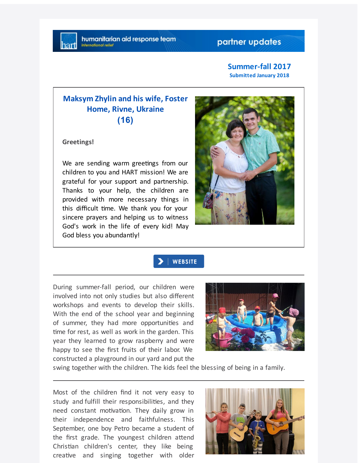### partner updates

### **Summer-fall 2017 Submitted January 2018**

## **Maksym Zhylin and his wife, Foster Home, Rivne, Ukraine (16)**

**Greetings!**

We are sending warm greetings from our children to you and HART mission! We are grateful for your support and partnership. Thanks to your help, the children are provided with more necessary things in this difficult me. We thank you for your sincere prayers and helping us to witness God's work in the life of every kid! May God bless you abundantly!



### WEBSITE

During summer-fall period, our children were involved into not only studies but also different workshops and events to develop their skills. With the end of the school year and beginning of summer, they had more opportuni
es and time for rest, as well as work in the garden. This year they learned to grow raspberry and were happy to see the first fruits of their labor. We constructed a playground in our yard and put the



swing together with the children. The kids feel the blessing of being in a family.

Most of the children find it not very easy to study and fulfill their responsibili
es, and they need constant motivation. They daily grow in their independence and faithfulness. This September, one boy Petro became a student of the first grade. The youngest children attend Christian children's center, they like being creative and singing together with older

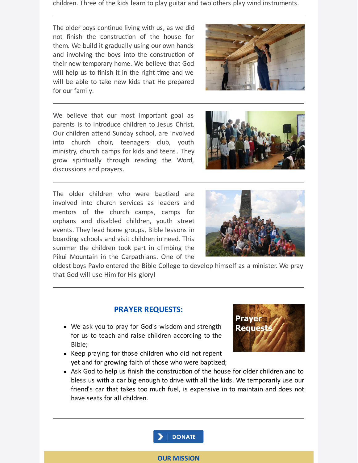children. Three of the kids learn to play guitar and two others play wind instruments.

The older boys continue living with us, as we did not finish the construction of the house for them. We build it gradually using our own hands and involving the boys into the construction of their new temporary home. We believe that God will help us to finish it in the right time and we will be able to take new kids that He prepared for our family.

We believe that our most important goal as parents is to introduce children to Jesus Christ. Our children attend Sunday school, are involved into church choir, teenagers club, youth ministry, church camps for kids and teens. They grow spiritually through reading the Word, discussions and prayers.

The older children who were baptized are involved into church services as leaders and mentors of the church camps, camps for orphans and disabled children, youth street events. They lead home groups, Bible lessons in boarding schools and visit children in need. This summer the children took part in climbing the Pikui Mountain in the Carpathians. One of the

oldest boys Pavlo entered the Bible College to develop himself as a minister. We pray that God will use Him for His glory!

# **PRAYER REQUESTS:**

- We ask you to pray for God's wisdom and strength for us to teach and raise children according to the Bible;
- Keep praying for those children who did not repent yet and for growing faith of those who were baptized;
- Ask God to help us finish the construction of the house for older children and to bless us with a car big enough to drive with all the kids. We temporarily use our friend's car that takes too much fuel, is expensive in to maintain and does not have seats for all children.











#### **OUR MISSION**